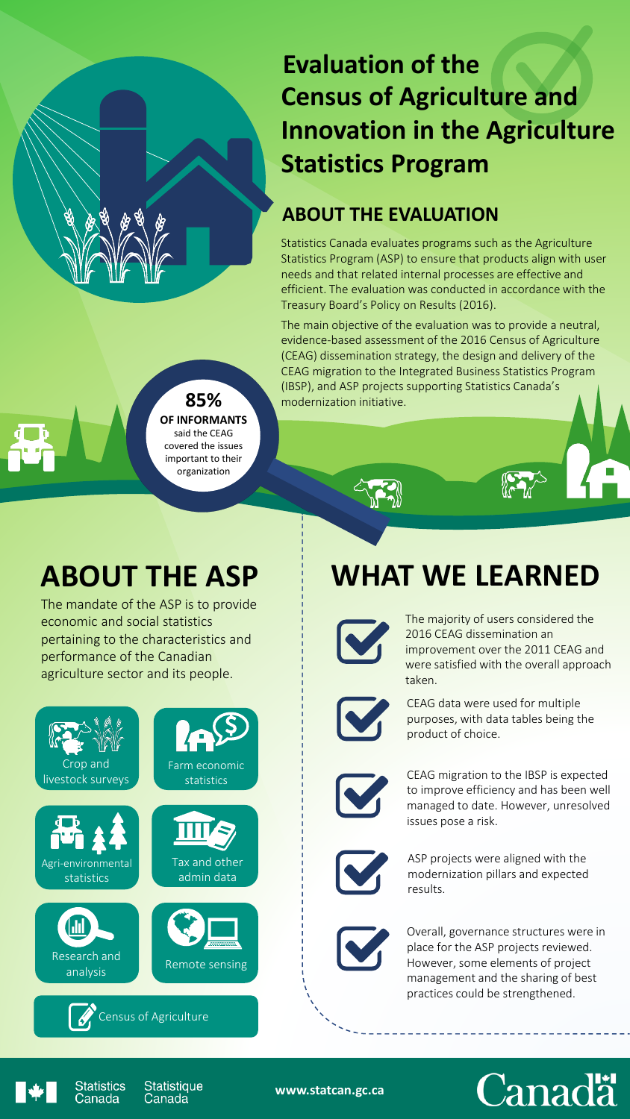## **Evaluation of the Census of Agriculture and Innovation in the Agriculture Statistics Program**

#### **ABOUT THE EVALUATION**

Statistics Canada evaluates programs such as the Agriculture Statistics Program (ASP) to ensure that products align with user needs and that related internal processes are effective and efficient. The evaluation was conducted in accordance with the Treasury Board's Policy on Results (2016).

The main objective of the evaluation was to provide a neutral, evidence-based assessment of the 2016 Census of Agriculture (CEAG) dissemination strategy, the design and delivery of the CEAG migration to the Integrated Business Statistics Program (IBSP), and ASP projects supporting Statistics Canada's modernization initiative.

#### **85% OF INFORMANTS**

said the CEAG covered the issues important to their organization

# **ABOUT THE ASP**

The mandate of the ASP is to provide economic and social statistics pertaining to the characteristics and performance of the Canadian agriculture sector and its people.



# **WHAT WE LEARNED**



The majority of users considered the 2016 CEAG dissemination an improvement over the 2011 CEAG and were satisfied with the overall approach taken.



CEAG data were used for multiple purposes, with data tables being the product of choice.



CEAG migration to the IBSP is expected to improve efficiency and has been well managed to date. However, unresolved issues pose a risk.



ASP projects were aligned with the modernization pillars and expected results.

Overall, governance structures were in place for the ASP projects reviewed. However, some elements of project management and the sharing of best practices could be strengthened.





Statistics<br>Canada **Statistique** Canada

**www.statcan.gc.ca**